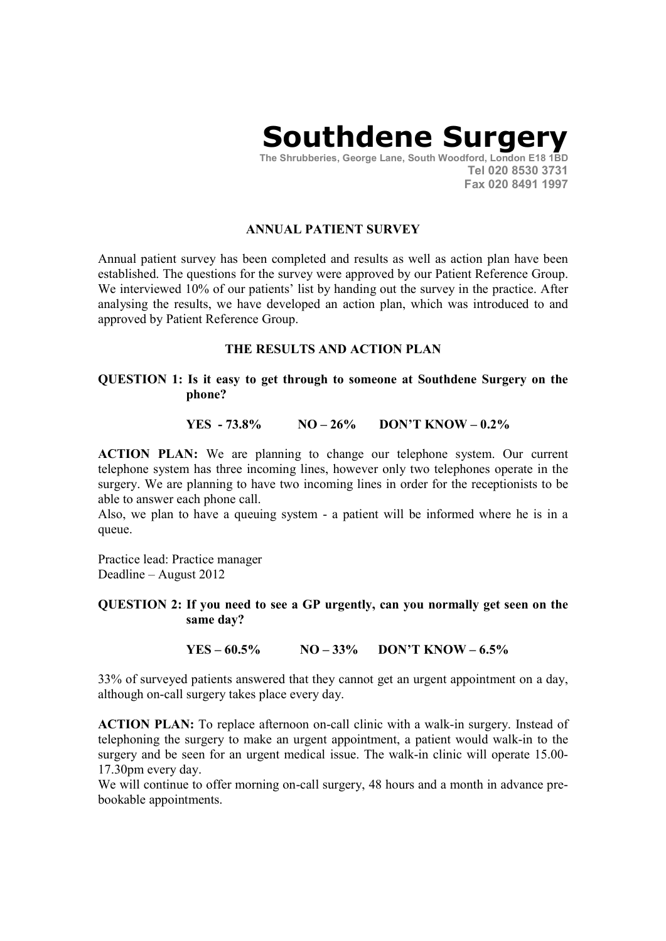# Southdene Surgery

The Shrubberies, George Lane, South Woodford, London E18 1BD Tel 020 8530 3731 Fax 020 8491 1997

## ANNUAL PATIENT SURVEY

Annual patient survey has been completed and results as well as action plan have been established. The questions for the survey were approved by our Patient Reference Group. We interviewed 10% of our patients' list by handing out the survey in the practice. After analysing the results, we have developed an action plan, which was introduced to and approved by Patient Reference Group.

## THE RESULTS AND ACTION PLAN

### QUESTION 1: Is it easy to get through to someone at Southdene Surgery on the phone?

#### YES - 73.8%  $NO - 26\%$  DON'T KNOW - 0.2%

ACTION PLAN: We are planning to change our telephone system. Our current telephone system has three incoming lines, however only two telephones operate in the surgery. We are planning to have two incoming lines in order for the receptionists to be able to answer each phone call.

Also, we plan to have a queuing system - a patient will be informed where he is in a queue.

Practice lead: Practice manager Deadline – August 2012

QUESTION 2: If you need to see a GP urgently, can you normally get seen on the same day?

YES –  $60.5\%$  NO –  $33\%$  DON'T KNOW –  $6.5\%$ 

33% of surveyed patients answered that they cannot get an urgent appointment on a day, although on-call surgery takes place every day.

ACTION PLAN: To replace afternoon on-call clinic with a walk-in surgery. Instead of telephoning the surgery to make an urgent appointment, a patient would walk-in to the surgery and be seen for an urgent medical issue. The walk-in clinic will operate 15.00- 17.30pm every day.

We will continue to offer morning on-call surgery, 48 hours and a month in advance prebookable appointments.